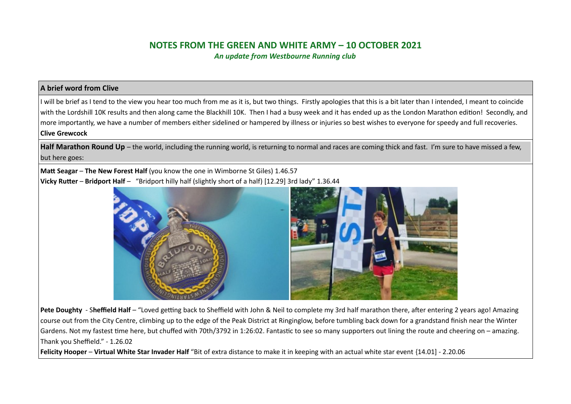# **NOTES FROM THE GREEN AND WHITE ARMY – 10 OCTOBER 2021**

*An update from Westbourne Running club*

### **A brief word from Clive**

I will be brief as I tend to the view you hear too much from me as it is, but two things. Firstly apologies that this is a bit later than I intended, I meant to coincide with the Lordshill 10K results and then along came the Blackhill 10K. Then I had a busy week and it has ended up as the London Marathon edition! Secondly, and more importantly, we have a number of members either sidelined or hampered by illness or injuries so best wishes to everyone for speedy and full recoveries. **Clive Grewcock**

Half Marathon Round Up – the world, including the running world, is returning to normal and races are coming thick and fast. I'm sure to have missed a few, but here goes:

**Matt Seagar – The New Forest Half** (you know the one in Wimborne St Giles) 1.46.57 **Vicky Rutter** – **Bridport Half** – "Bridport hilly half (slightly short of a half) [12.29] 3rd lady" 1.36.44



Pete Doughty - Sheffield Half – "Loved getting back to Sheffield with John & Neil to complete my 3rd half marathon there, after entering 2 years ago! Amazing course out from the City Centre, climbing up to the edge of the Peak District at Ringinglow, before tumbling back down for a grandstand finish near the Winter Gardens. Not my fastest time here, but chuffed with 70th/3792 in 1:26:02. Fantastic to see so many supporters out lining the route and cheering on – amazing. Thank you Sheffield." - 1.26.02

**Felicity Hooper** – **Virtual White Star Invader Half** "[Bit of extra distance to make it in keeping with an actual white star event](https://www.strava.com/activities/5978689945) {14.01] - 2.20.06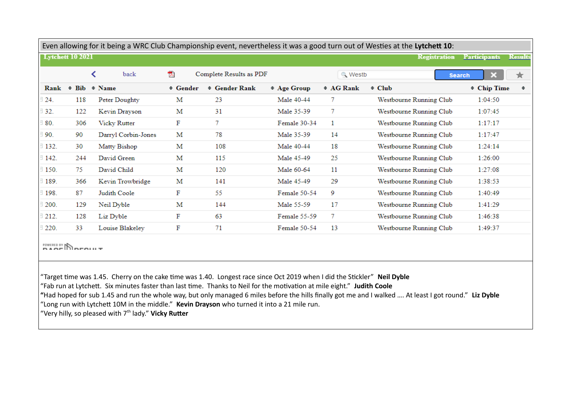| Even allowing for it being a WRC Club Championship event, nevertheless it was a good turn out of Westies at the Lytchett 10: |                         |                        |               |                         |                  |                |                         |                     |                |
|------------------------------------------------------------------------------------------------------------------------------|-------------------------|------------------------|---------------|-------------------------|------------------|----------------|-------------------------|---------------------|----------------|
|                                                                                                                              | <b>Lytchett 10 2021</b> |                        |               |                         |                  |                | <b>Registration</b>     | <b>Participants</b> | <b>Results</b> |
|                                                                                                                              |                         | ≺<br>back              | 人             | Complete Results as PDF |                  | <b>Q</b> Westb |                         | <b>Search</b>       | ★              |
| Rank                                                                                                                         |                         | $\div$ Bib $\div$ Name | $\div$ Gender | $\div$ Gender Rank      | $\div$ Age Group | $\div$ AG Rank | $\div$ Club             | <b>← Chip Time</b>  | $\div$         |
| 24.                                                                                                                          | 118                     | Peter Doughty          | М             | 23                      | Male 40-44       | 7              | Westbourne Running Club | 1:04:50             |                |
| 32.                                                                                                                          | 122                     | Kevin Drayson          | М             | 31                      | Male 35-39       | $\tau$         | Westbourne Running Club | 1:07:45             |                |
| 80.                                                                                                                          | 306                     | <b>Vicky Rutter</b>    | F             | 7                       | Female 30-34     | 1              | Westbourne Running Club | 1:17:17             |                |
| 90.                                                                                                                          | 90                      | Darryl Corbin-Jones    | М             | 78                      | Male 35-39       | 14             | Westbourne Running Club | 1:17:47             |                |
| 132.                                                                                                                         | 30                      | Matty Bishop           | М             | 108                     | Male 40-44       | 18             | Westbourne Running Club | 1:24:14             |                |
| $\exists$ 142.                                                                                                               | 244                     | David Green            | М             | 115                     | Male 45-49       | 25             | Westbourne Running Club | 1:26:00             |                |
| 150.                                                                                                                         | 75                      | David Child            | М             | 120                     | Male 60-64       | 11             | Westbourne Running Club | 1:27:08             |                |
| 189.                                                                                                                         | 366                     | Kevin Trowbridge       | М             | 141                     | Male 45-49       | 29             | Westbourne Running Club | 1:38:53             |                |
| 198.                                                                                                                         | 87                      | Judith Coole           | F             | 55                      | Female 50-54     | 9              | Westbourne Running Club | 1:40:49             |                |
| 200.                                                                                                                         | 129                     | Neil Dyble             | M             | 144                     | Male 55-59       | 17             | Westbourne Running Club | 1:41:29             |                |
| 212.                                                                                                                         | 128                     | Liz Dyble              | F             | 63                      | Female 55-59     | 7              | Westbourne Running Club | 1:46:38             |                |
| 220.                                                                                                                         | 33                      | Louise Blakeley        | F             | 71                      | Female 50-54     | 13             | Westbourne Running Club | 1:49:37             |                |
| POWERED BY NORFOLIUT                                                                                                         |                         |                        |               |                         |                  |                |                         |                     |                |

"Target time was 1.45. Cherry on the cake time was 1.40. Longest race since Oct 2019 when I did the Stickler" **Neil Dyble** "Fab run at Lytchett. Six minutes faster than last time. Thanks to Neil for the motivation at mile eight." **Judith Coole "**Had hoped for sub 1.45 and run the whole way, but only managed 6 miles before the hills finally got me and I walked …. At least I got round." **Liz Dyble** "Long run with Lytchett 10M in the middle." **Kevin Drayson** who turned it into a 21 mile run. "Very hilly, so pleased with 7<sup>th</sup> lady." Vicky Rutter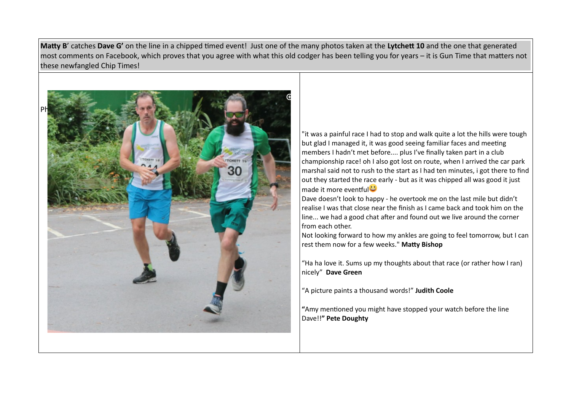**Matty B**' catches **Dave G'** on the line in a chipped timed event! Just one of the many photos taken at the **Lytchett 10** and the one that generated most comments on Facebook, which proves that you agree with what this old codger has been telling you for years – it is Gun Time that matters not these newfangled Chip Times!



"it was a painful race I had to stop and walk quite a lot the hills were tough but glad I managed it, it was good seeing familiar faces and meeting members I hadn't met before.... plus I've finally taken part in a club championship race! oh I also got lost on route, when I arrived the car park marshal said not to rush to the start as I had ten minutes, i got there to find out they started the race early - but as it was chipped all was good it just made it more eventful<sup>1</sup>

Dave doesn't look to happy - he overtook me on the last mile but didn't realise I was that close near the finish as I came back and took him on the line... we had a good chat after and found out we live around the corner from each other.

Not looking forward to how my ankles are going to feel tomorrow, but I can rest them now for a few weeks." **Matty Bishop**

"Ha ha love it. Sums up my thoughts about that race (or rather how I ran) nicely" **Dave Green**

"A picture paints a thousand words!" **Judith Coole**

**"**Amy mentioned you might have stopped your watch before the line Dave!!**" Pete Doughty**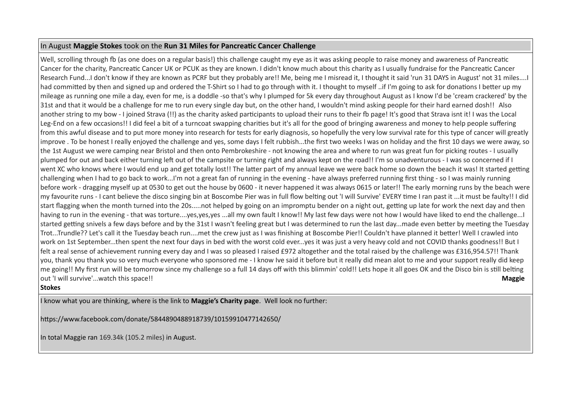### In August **Maggie Stokes** took on the **Run 31 Miles for Pancreatic Cancer Challenge**

Well, scrolling through fb (as one does on a regular basis!) this challenge caught my eye as it was asking people to raise money and awareness of Pancreatic Cancer for the charity, Pancreatic Cancer UK or PCUK as they are known. I didn't know much about this charity as I usually fundraise for the Pancreatic Cancer Research Fund...I don't know if they are known as PCRF but they probably are!! Me, being me I misread it, I thought it said 'run 31 DAYS in August' not 31 miles....I had committed by then and signed up and ordered the T-Shirt so I had to go through with it. I thought to myself ..if I'm going to ask for donations I better up my mileage as running one mile a day, even for me, is a doddle -so that's why I plumped for 5k every day throughout August as I know I'd be 'cream crackered' by the 31st and that it would be a challenge for me to run every single day but, on the other hand, I wouldn't mind asking people for their hard earned dosh!! Also another string to my bow - I joined Strava (!!) as the charity asked participants to upload their runs to their fb page! It's good that Strava isnt it! I was the Local Leg-End on a few occasions!! I did feel a bit of a turncoat swapping charities but it's all for the good of bringing awareness and money to help people suffering from this awful disease and to put more money into research for tests for early diagnosis, so hopefully the very low survival rate for this type of cancer will greatly improve . To be honest I really enjoyed the challenge and yes, some days I felt rubbish...the first two weeks I was on holiday and the first 10 days we were away, so the 1st August we were camping near Bristol and then onto Pembrokeshire - not knowing the area and where to run was great fun for picking routes - I usually plumped for out and back either turning left out of the campsite or turning right and always kept on the road!! I'm so unadventurous - I was so concerned if I went XC who knows where I would end up and get totally lost!! The latter part of my annual leave we were back home so down the beach it was! It started getting challenging when I had to go back to work...I'm not a great fan of running in the evening - have always preferred running first thing - so I was mainly running before work - dragging myself up at 0530 to get out the house by 0600 - it never happened it was always 0615 or later!! The early morning runs by the beach were my favourite runs - I cant believe the disco singing bin at Boscombe Pier was in full flow belting out 'I will Survive' EVERY time I ran past it ...it must be faulty!! I did start flagging when the month turned into the 20s.....not helped by going on an impromptu bender on a night out, getting up late for work the next day and then having to run in the evening - that was torture....yes,yes,yes ...all my own fault I know!! My last few days were not how I would have liked to end the challenge...I started getting snivels a few days before and by the 31st I wasn't feeling great but I was determined to run the last day...made even better by meeting the Tuesday Trot...Trundle?? Let's call it the Tuesday beach run....met the crew just as I was finishing at Boscombe Pier!! Couldn't have planned it better! Well I crawled into work on 1st September...then spent the next four days in bed with the worst cold ever...yes it was just a very heavy cold and not COVID thanks goodness!! But I felt a real sense of achievement running every day and I was so pleased I raised £972 altogether and the total raised by the challenge was £316,954.57!! Thank you, thank you thank you so very much everyone who sponsored me - I know Ive said it before but it really did mean alot to me and your support really did keep me going!! My first run will be tomorrow since my challenge so a full 14 days off with this blimmin' cold!! Lets hope it all goes OK and the Disco bin is still belting out 'I will survive'...watch this space!! **Maggie** 

### **Stokes**

I know what you are thinking, where is the link to **Maggie's Charity page**. Well look no further:

https://www.facebook.com/donate/5844890488918739/10159910477142650/

In total Maggie ran 169.34k (105.2 miles) in August.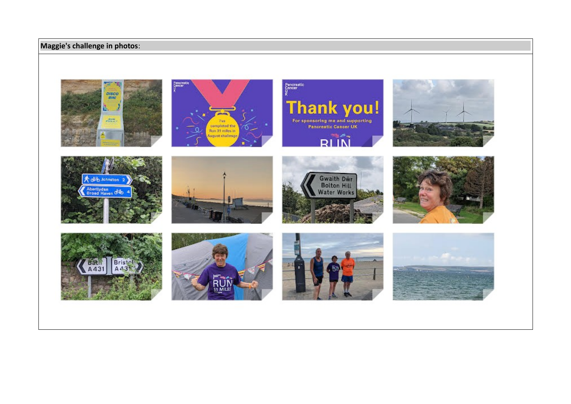## **Maggie's challenge in photos**:

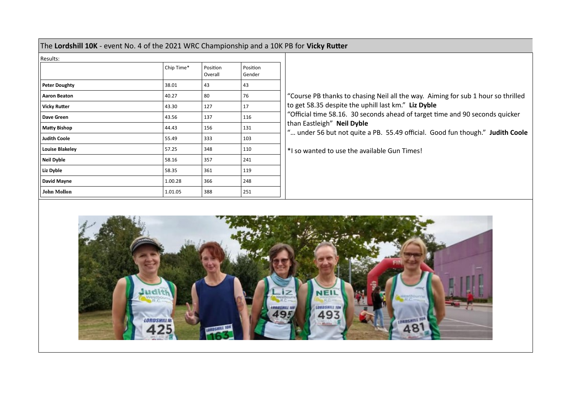| The Lordshill 10K - event No. 4 of the 2021 WRC Championship and a 10K PB for Vicky Rutter |  |
|--------------------------------------------------------------------------------------------|--|
| Description                                                                                |  |

| Results:               |            |                     |                    |
|------------------------|------------|---------------------|--------------------|
|                        | Chip Time* | Position<br>Overall | Position<br>Gender |
| <b>Peter Doughty</b>   | 38.01      | 43                  | 43                 |
| <b>Aaron Beaton</b>    | 40.27      | 80                  | 76                 |
| <b>Vicky Rutter</b>    | 43.30      | 127                 | 17                 |
| Dave Green             | 43.56      | 137                 | 116                |
| <b>Matty Bishop</b>    | 44.43      | 156                 | 131                |
| <b>Judith Coole</b>    | 55.49      | 333                 | 103                |
| <b>Louise Blakeley</b> | 57.25      | 348                 | 110                |
| <b>Neil Dyble</b>      | 58.16      | 357                 | 241                |
| Liz Dyble              | 58.35      | 361                 | 119                |
| David Mayne            | 1.00.28    | 366                 | 248                |
| <b>John Mollon</b>     | 1.01.05    | 388                 | 251                |

"Course PB thanks to chasing Neil all the way. Aiming for sub 1 hour so thrilled to get 58.35 despite the uphill last km." **Liz Dyble** "Official time 58.16. 30 seconds ahead of target time and 90 seconds quicker than Eastleigh" **Neil Dyble** "… under 56 but not quite a PB. 55.49 official. Good fun though." **Judith Coole** \*I so wanted to use the available Gun Times!

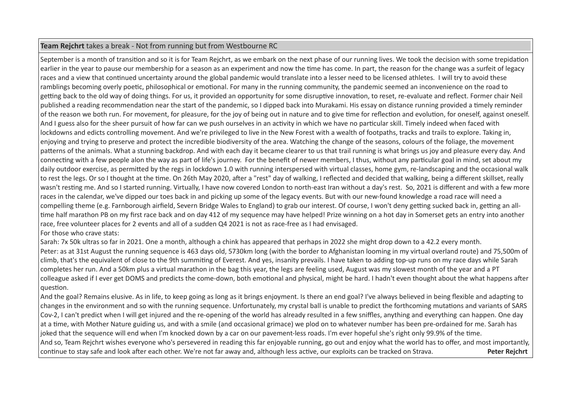### **Team Rejchrt** takes a break - Not from running but from Westbourne RC

September is a month of transition and so it is for Team Reichrt, as we embark on the next phase of our running lives. We took the decision with some trepidation earlier in the year to pause our membership for a season as an experiment and now the time has come. In part, the reason for the change was a surfeit of legacy races and a view that continued uncertainty around the global pandemic would translate into a lesser need to be licensed athletes. I will try to avoid these ramblings becoming overly poetic, philosophical or emotional. For many in the running community, the pandemic seemed an inconvenience on the road to getting back to the old way of doing things. For us, it provided an opportunity for some disruptive innovation, to reset, re-evaluate and reflect. Former chair Neil published a reading recommendation near the start of the pandemic, so I dipped back into Murakami. His essay on distance running provided a timely reminder of the reason we both run. For movement, for pleasure, for the joy of being out in nature and to give time for reflection and evolution, for oneself, against oneself. And I guess also for the sheer pursuit of how far can we push ourselves in an activity in which we have no particular skill. Timely indeed when faced with lockdowns and edicts controlling movement. And we're privileged to live in the New Forest with a wealth of footpaths, tracks and trails to explore. Taking in, enjoying and trying to preserve and protect the incredible biodiversity of the area. Watching the change of the seasons, colours of the foliage, the movement patterns of the animals. What a stunning backdrop. And with each day it became clearer to us that trail running is what brings us joy and pleasure every day. And connecting with a few people alon the way as part of life's journey. For the benefit of newer members, I thus, without any particular goal in mind, set about my daily outdoor exercise, as permitted by the regs in lockdown 1.0 with running interspersed with virtual classes, home gym, re-landscaping and the occasional walk to rest the legs. Or so I thought at the time. On 26th May 2020, after a "rest" day of walking, I reflected and decided that walking, being a different skillset, really wasn't resting me. And so I started running. Virtually, I have now covered London to north-east Iran without a day's rest. So, 2021 is different and with a few more races in the calendar, we've dipped our toes back in and picking up some of the legacy events. But with our new-found knowledge a road race will need a compelling theme (e.g. Farnborough airfield, Severn Bridge Wales to England) to grab our interest. Of course, I won't deny getting sucked back in, getting an alltime half marathon PB on my first race back and on day 412 of my sequence may have helped! Prize winning on a hot day in Somerset gets an entry into another race, free volunteer places for 2 events and all of a sudden Q4 2021 is not as race-free as I had envisaged. For those who crave stats:

Sarah: 7x 50k ultras so far in 2021. One a month, although a chink has appeared that perhaps in 2022 she might drop down to a 42.2 every month. Peter: as at 31st August the running sequence is 463 days old, 5730km long (with the border to Afghanistan looming in my virtual overland route) and 75,500m of climb, that's the equivalent of close to the 9th summiting of Everest. And yes, insanity prevails. I have taken to adding top-up runs on my race days while Sarah completes her run. And a 50km plus a virtual marathon in the bag this year, the legs are feeling used, August was my slowest month of the year and a PT colleague asked if I ever get DOMS and predicts the come-down, both emotional and physical, might be hard. I hadn't even thought about the what happens after question.

And the goal? Remains elusive. As in life, to keep going as long as it brings enjoyment. Is there an end goal? I've always believed in being flexible and adapting to changes in the environment and so with the running sequence. Unfortunately, my crystal ball is unable to predict the forthcoming mutations and variants of SARS Cov-2, I can't predict when I will get injured and the re-opening of the world has already resulted in a few sniffles, anything and everything can happen. One day at a time, with Mother Nature guiding us, and with a smile (and occasional grimace) we plod on to whatever number has been pre-ordained for me. Sarah has joked that the sequence will end when I'm knocked down by a car on our pavement-less roads. I'm ever hopeful she's right only 99.9% of the time. And so, Team Rejchrt wishes everyone who's persevered in reading this far enjoyable running, go out and enjoy what the world has to offer, and most importantly, continue to stay safe and look after each other. We're not far away and, although less active, our exploits can be tracked on Strava. **Peter Rejchrt**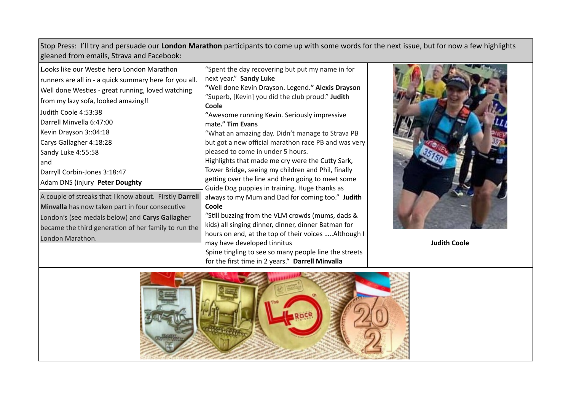Stop Press: I'll try and persuade our **London Marathon** participants **t**o come up with some words for the next issue, but for now a few highlights gleaned from emails, Strava and Facebook:

| Looks like our Westie hero London Marathon<br>runners are all in - a quick summary here for you all.<br>Well done Westies - great running, loved watching<br>from my lazy sofa, looked amazing!!<br>Judith Coole 4:53:38<br>Darrell Minvella 6:47:00<br>Kevin Drayson 3::04:18<br>Carys Gallagher 4:18:28<br>Sandy Luke 4:55:58<br>and | "Spent the day recovering but put my name in for<br>next year." Sandy Luke<br>"Well done Kevin Drayson. Legend." Alexis Drayson<br>"Superb, [Kevin] you did the club proud." Judith<br>Coole<br>"Awesome running Kevin. Seriously impressive<br>mate." Tim Evans<br>"What an amazing day. Didn't manage to Strava PB<br>but got a new official marathon race PB and was very<br>pleased to come in under 5 hours.<br>Highlights that made me cry were the Cutty Sark, |        |
|----------------------------------------------------------------------------------------------------------------------------------------------------------------------------------------------------------------------------------------------------------------------------------------------------------------------------------------|-----------------------------------------------------------------------------------------------------------------------------------------------------------------------------------------------------------------------------------------------------------------------------------------------------------------------------------------------------------------------------------------------------------------------------------------------------------------------|--------|
| Darryll Corbin-Jones 3:18:47<br>Adam DNS (injury Peter Doughty                                                                                                                                                                                                                                                                         | Tower Bridge, seeing my children and Phil, finally<br>getting over the line and then going to meet some                                                                                                                                                                                                                                                                                                                                                               |        |
| A couple of streaks that I know about. Firstly Darrell<br>Minvalla has now taken part in four consecutive<br>London's (see medals below) and Carys Gallagher<br>became the third generation of her family to run the<br>London Marathon.                                                                                               | Guide Dog puppies in training. Huge thanks as<br>always to my Mum and Dad for coming too." Judith<br>Coole<br>"Still buzzing from the VLM crowds (mums, dads &<br>kids) all singing dinner, dinner, dinner Batman for<br>hours on end, at the top of their voices  Although I<br>may have developed tinnitus<br>Spine tingling to see so many people line the streets                                                                                                 | Judith |



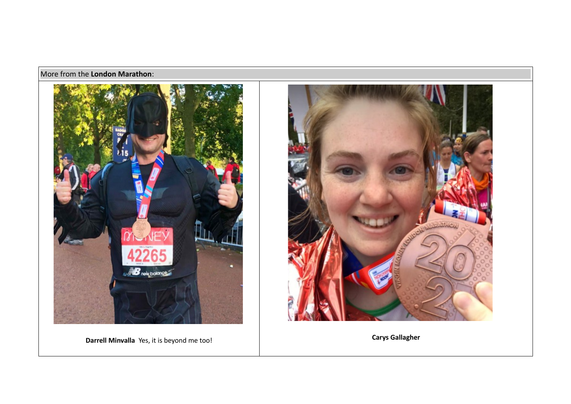# More from the **London Marathon**:



**Darrell Minvalla** Yes, it is beyond me too! **Carys Gallagher Carys Gallagher** 

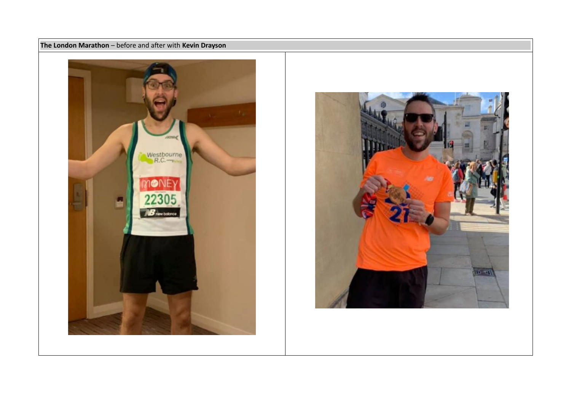



**The London Marathon** – before and after with **Kevin Drayson**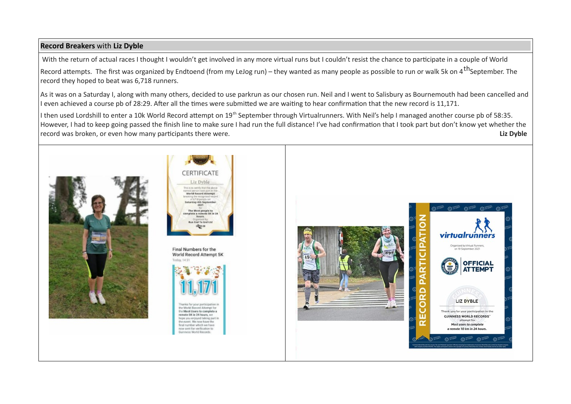### **Record Breakers** with **Liz Dyble**

With the return of actual races I thought I wouldn't get involved in any more virtual runs but I couldn't resist the chance to participate in a couple of World Record attempts. The first was organized by Endtoend (from my LeJog run) – they wanted as many people as possible to run or walk 5k on 4<sup>th</sup>September. The record they hoped to beat was 6,718 runners.

As it was on a Saturday I, along with many others, decided to use parkrun as our chosen run. Neil and I went to Salisbury as Bournemouth had been cancelled and I even achieved a course pb of 28:29. After all the times were submitted we are waiting to hear confirmation that the new record is 11,171.

I then used Lordshill to enter a 10k World Record attempt on 19<sup>th</sup> September through Virtualrunners. With Neil's help I managed another course pb of 58:35. However, I had to keep going passed the finish line to make sure I had run the full distance! I've had confirmation that I took part but don't know yet whether the record was broken, or even how many participants there were. **Liz Dyble**





Final Numbers for the World Record Attempt 5K Today, 14:31



the World Record Attempt for the Most Users to complete a remote SK in 24 hours, we home you enloyed taking part in the event. We now have the final number which we have now sent for verification to Guinness World Records

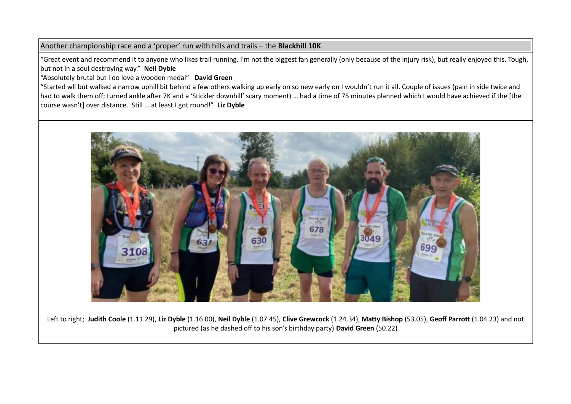### Another championship race and a 'proper' run with hills and trails – the **Blackhill 10K**

"Great event and recommend it to anyone who likes trail running. I'm not the biggest fan generally (only because of the injury risk), but really enjoyed this. Tough, but not in a soul destroying way." **Neil Dyble**

"Absolutely brutal but I do love a wooden medal" **David Green**

"Started wll but walked a narrow uphill bit behind a few others walking up early on so new early on I wouldn't run it all. Couple of issues (pain in side twice and had to walk them off; turned ankle after 7K and a 'Stickler downhill' scary moment) … had a time of 75 minutes planned which I would have achieved if the [the course wasn't] over distance. Still … at least I got round!" **Liz Dyble**



Left to right; **Judith Coole** (1.11.29), **Liz Dyble** (1.16.00), **Neil Dyble** (1.07.45), **Clive Grewcock** (1.24.34), **Matty Bishop** (53.05), **Geoff Parrott** (1.04.23) and not pictured (as he dashed off to his son's birthday party) **David Green** (50.22)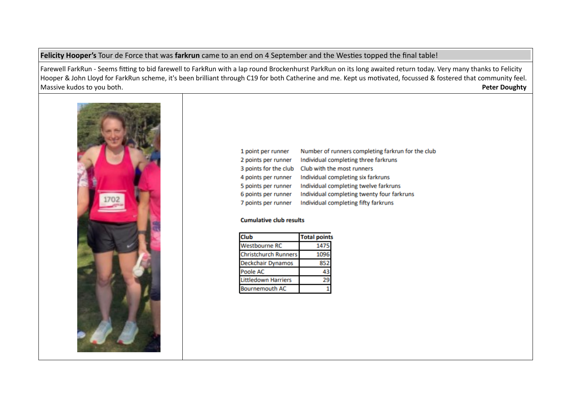### **Felicity Hooper's** Tour de Force that was **farkrun** came to an end on 4 September and the Westies topped the final table!

Farewell FarkRun - Seems fitting to bid farewell to FarkRun with a lap round Brockenhurst ParkRun on its long awaited return today. Very many thanks to Felicity Hooper & John Lloyd for FarkRun scheme, it's been brilliant through C19 for both Catherine and me. Kept us motivated, focussed & fostered that community feel.<br>Massive kudos to you both. **Peter Doughty Massive kudos to you both.** 



| 1 point per runner    | Number of runners completing farkrun for the club |
|-----------------------|---------------------------------------------------|
| 2 points per runner   | Individual completing three farkruns              |
| 3 points for the club | Club with the most runners                        |
| 4 points per runner   | Individual completing six farkruns                |
| 5 points per runner   | Individual completing twelve farkruns             |
| 6 points per runner   | Individual completing twenty four farkruns        |
| 7 points per runner   | Individual completing fifty farkruns              |

#### **Cumulative club results**

| Club                        | <b>Total point</b> |
|-----------------------------|--------------------|
| <b>Westbourne RC</b>        | 1475               |
| <b>Christchurch Runners</b> | 1096               |
| Deckchair Dynamos           | 852                |
| Poole AC                    |                    |
| <b>Littledown Harriers</b>  |                    |
| <b>Bournemouth AC</b>       |                    |